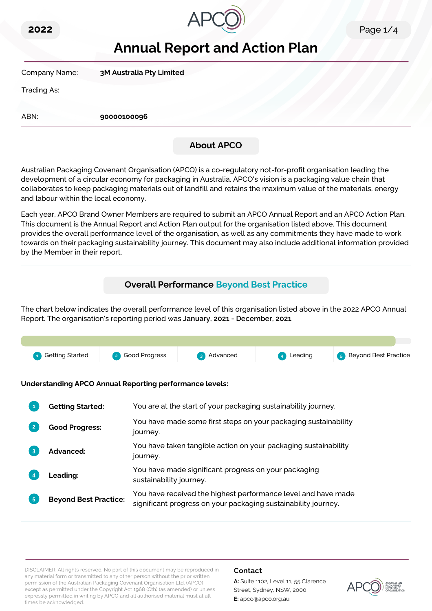



# **Annual Report and Action Plan**

Company Name: **3M Australia Pty Limited**

Trading As:

ABN: **90000100096**

### **About APCO**

Australian Packaging Covenant Organisation (APCO) is a co-regulatory not-for-profit organisation leading the development of a circular economy for packaging in Australia. APCO's vision is a packaging value chain that collaborates to keep packaging materials out of landfill and retains the maximum value of the materials, energy and labour within the local economy.

Each year, APCO Brand Owner Members are required to submit an APCO Annual Report and an APCO Action Plan. This document is the Annual Report and Action Plan output for the organisation listed above. This document provides the overall performance level of the organisation, as well as any commitments they have made to work towards on their packaging sustainability journey. This document may also include additional information provided by the Member in their report.

## **Overall Performance Beyond Best Practice**

The chart below indicates the overall performance level of this organisation listed above in the 2022 APCO Annual Report. The organisation's reporting period was **January, 2021 - December, 2021**.



**Understanding APCO Annual Reporting performance levels:**

|                | <b>Getting Started:</b>      | You are at the start of your packaging sustainability journey.                                                                  |
|----------------|------------------------------|---------------------------------------------------------------------------------------------------------------------------------|
| $\overline{2}$ | <b>Good Progress:</b>        | You have made some first steps on your packaging sustainability<br>journey.                                                     |
|                | <b>Advanced:</b>             | You have taken tangible action on your packaging sustainability<br>journey.                                                     |
|                | <b>Leading:</b>              | You have made significant progress on your packaging<br>sustainability journey.                                                 |
| 5 <sup>1</sup> | <b>Beyond Best Practice:</b> | You have received the highest performance level and have made<br>significant progress on your packaging sustainability journey. |

DISCLAIMER: All rights reserved. No part of this document may be reproduced in any material form or transmitted to any other person without the prior written permission of the Australian Packaging Covenant Organisation Ltd. (APCO) except as permitted under the Copyright Act 1968 (Cth) (as amended) or unless expressly permitted in writing by APCO and all authorised material must at all times be acknowledged.

#### **Contact**

**A:** Suite 1102, Level 11, 55 Clarence Street, Sydney, NSW, 2000 **E:** apco@apco.org.au

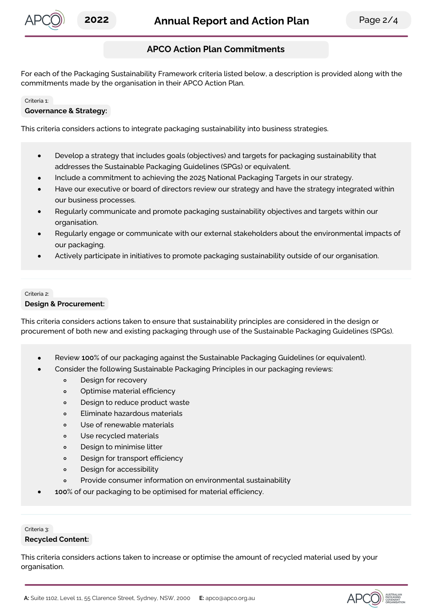

### **APCO Action Plan Commitments**

For each of the Packaging Sustainability Framework criteria listed below, a description is provided along with the commitments made by the organisation in their APCO Action Plan.

#### Criteria 1:

#### **Governance & Strategy:**

This criteria considers actions to integrate packaging sustainability into business strategies.

- Develop a strategy that includes goals (objectives) and targets for packaging sustainability that  $\bullet$ addresses the Sustainable Packaging Guidelines (SPGs) or equivalent.
- Include a commitment to achieving the 2025 National Packaging Targets in our strategy.
- Have our executive or board of directors review our strategy and have the strategy integrated within our business processes.
- Regularly communicate and promote packaging sustainability objectives and targets within our organisation.
- Regularly engage or communicate with our external stakeholders about the environmental impacts of our packaging.
- Actively participate in initiatives to promote packaging sustainability outside of our organisation.

## Criteria 2:

#### **Design & Procurement:**

This criteria considers actions taken to ensure that sustainability principles are considered in the design or procurement of both new and existing packaging through use of the Sustainable Packaging Guidelines (SPGs).

- Review **100**% of our packaging against the Sustainable Packaging Guidelines (or equivalent).
- Consider the following Sustainable Packaging Principles in our packaging reviews:
	- Design for recovery  $\circ$
	- Optimise material efficiency  $\circ$
	- Design to reduce product waste  $\circ$
	- $\circ$ Eliminate hazardous materials
	- Use of renewable materials  $\circ$
	- Use recycled materials  $\circ$
	- $\circ$ Design to minimise litter
	- $\circ$ Design for transport efficiency
	- Design for accessibility  $\circ$
	- Provide consumer information on environmental sustainability  $\circ$
- **100**% of our packaging to be optimised for material efficiency.

## Criteria 3:

#### **Recycled Content:**

This criteria considers actions taken to increase or optimise the amount of recycled material used by your organisation.

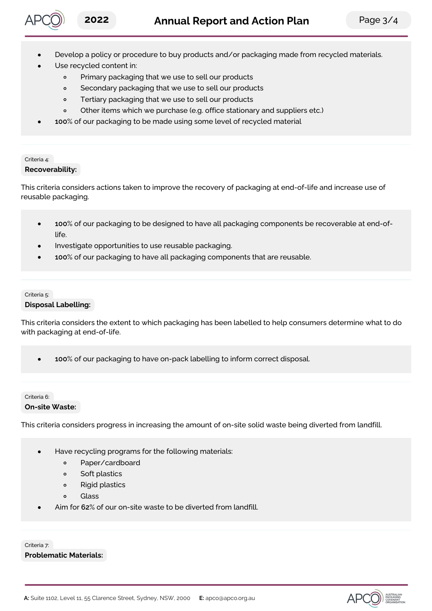

- Develop a policy or procedure to buy products and/or packaging made from recycled materials.
- Use recycled content in:
	- Primary packaging that we use to sell our products  $\circ$
	- Secondary packaging that we use to sell our products  $\circ$
	- Tertiary packaging that we use to sell our products  $\circ$
	- $\circ$ Other items which we purchase (e.g. office stationary and suppliers etc.)
	- **100**% of our packaging to be made using some level of recycled material

#### Criteria 4: **Recoverability:**

This criteria considers actions taken to improve the recovery of packaging at end-of-life and increase use of reusable packaging.

- **100**% of our packaging to be designed to have all packaging components be recoverable at end-oflife.
- Investigate opportunities to use reusable packaging.
- **100**% of our packaging to have all packaging components that are reusable.

#### Criteria 5: **Disposal Labelling:**

This criteria considers the extent to which packaging has been labelled to help consumers determine what to do with packaging at end-of-life.

**100**% of our packaging to have on-pack labelling to inform correct disposal.

#### Criteria 6:

#### **On-site Waste:**

This criteria considers progress in increasing the amount of on-site solid waste being diverted from landfill.

- Have recycling programs for the following materials:
	- $\circ$ Paper/cardboard
	- Soft plastics  $\circ$
	- Rigid plastics  $\circ$
	- Glass  $\Omega$
- Aim for **62**% of our on-site waste to be diverted from landfill.

Criteria 7: **Problematic Materials:**